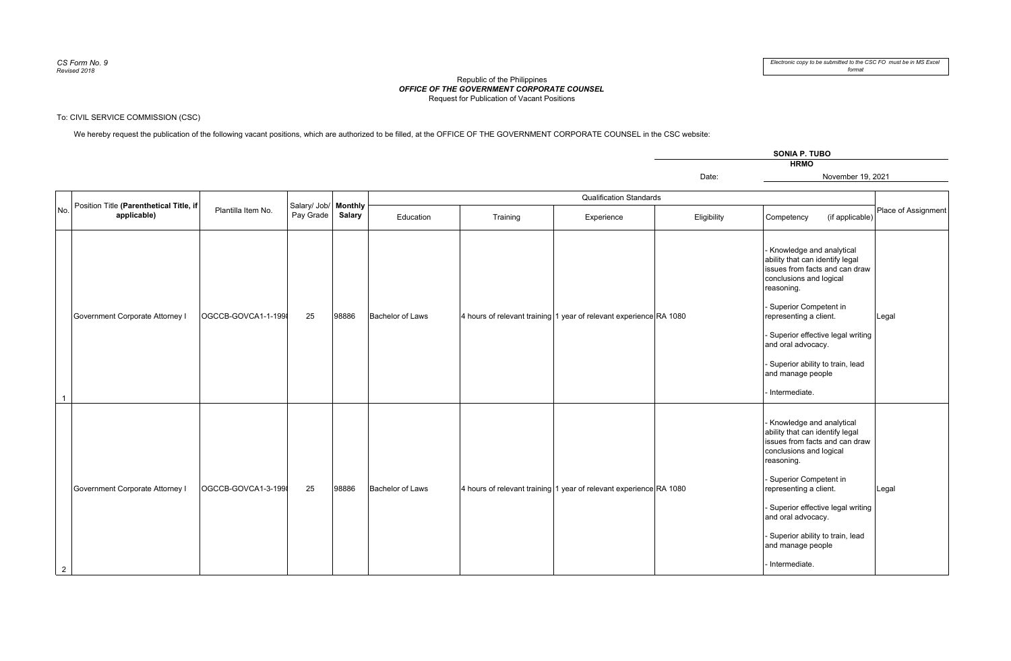## *OFFICE OF THE GOVERNMENT CORPORATE COUNSEL* Republic of the PhilippinesRequest for Publication of Vacant Positions

## To: CIVIL SERVICE COMMISSION (CSC)

We hereby request the publication of the following vacant positions, which are authorized to be filled, at the OFFICE OF THE GOVERNMENT CORPORATE COUNSEL in the CSC website:

Salary/ Job/ **Monthly** 

Date:Education Training Experience Eligibility Competency (if applicable) - Knowledge and analytical November 19, 2021**HRMOSONIA P. TUBO**Qualification StandardsPlace of Assign

| No.            | Position Title <b>(Parenthetical Title, if</b><br>applicable) | Plantilla Item No.  | Salary/ Job/ Monthly<br>Pay Grade | Salary | Education<br>Training   |  | Experience                                                         | Eligibility | (if applicable)<br>Competency                                                                                                                                                                                                                                                                                                        | Place of Assignment |
|----------------|---------------------------------------------------------------|---------------------|-----------------------------------|--------|-------------------------|--|--------------------------------------------------------------------|-------------|--------------------------------------------------------------------------------------------------------------------------------------------------------------------------------------------------------------------------------------------------------------------------------------------------------------------------------------|---------------------|
|                |                                                               |                     |                                   |        |                         |  |                                                                    |             |                                                                                                                                                                                                                                                                                                                                      |                     |
|                | Government Corporate Attorney I                               | OGCCB-GOVCA1-1-1998 | 25                                | 98886  | <b>Bachelor of Laws</b> |  | 4 hours of relevant training 1 year of relevant experience RA 1080 |             | Knowledge and analytical<br>ability that can identify legal<br>issues from facts and can draw<br>conclusions and logical<br>reasoning.<br>- Superior Competent in<br>representing a client.<br>- Superior effective legal writing<br>and oral advocacy.<br>- Superior ability to train, lead<br>and manage people<br>- Intermediate. | Legal               |
| $\overline{2}$ | Government Corporate Attorney I                               | OGCCB-GOVCA1-3-1998 | 25                                | 98886  | <b>Bachelor of Laws</b> |  | 4 hours of relevant training 1 year of relevant experience RA 1080 |             | Knowledge and analytical<br>ability that can identify legal<br>issues from facts and can draw<br>conclusions and logical<br>reasoning.<br>- Superior Competent in<br>representing a client.<br>- Superior effective legal writing<br>and oral advocacy.<br>- Superior ability to train, lead<br>and manage people<br>- Intermediate. | Legal               |